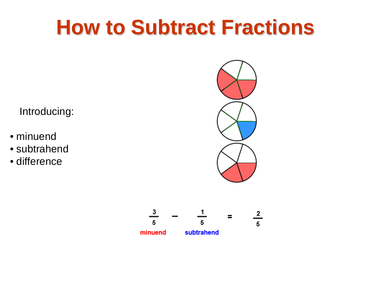#### **How to Subtract Fractions**

Introducing:

- minuend
- subtrahend
- difference



$$
\frac{3}{5} - \frac{1}{5} = \frac{2}{5}
$$
  
minuend subtrahend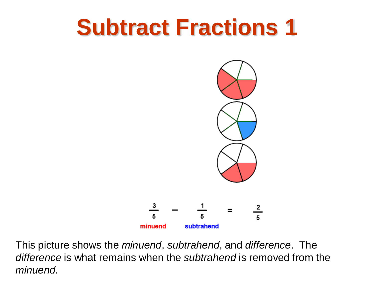

This picture shows the *minuend*, *subtrahend*, and *difference*. The *difference* is what remains when the *subtrahend* is removed from the *minuend*.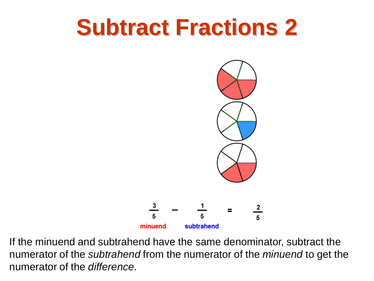

If the minuend and subtrahend have the same denominator, subtract the numerator of the *subtrahend* from the numerator of the *minuend* to get the numerator of the *difference*.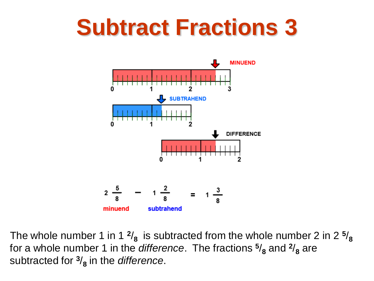

The whole number 1 in 1  $\frac{2}{8}$  is subtracted from the whole number 2 in 2  $\frac{5}{8}$ for a whole number 1 in the *difference*. The fractions  $\frac{5}{8}$  and  $\frac{2}{8}$  are subtracted for **<sup>3</sup>**/**<sup>8</sup>** in the *difference*.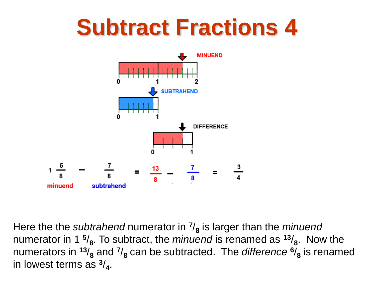

Here the the *subtrahend* numerator in  $\frac{7}{8}$  is larger than the *minuend* numerator in 1 **<sup>5</sup>**/**8**. To subtract, the *minuend* is renamed as **<sup>13</sup>**/**8**. Now the numerators in  $13/8$  and  $7/8$  can be subtracted. The *difference*  $6/8$  is renamed in lowest terms as **<sup>3</sup>**/**4**.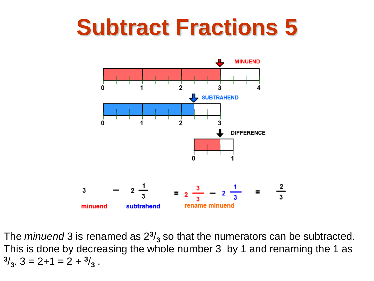

The *minuend* 3 is renamed as  $2<sup>3</sup>/<sub>3</sub>$  so that the numerators can be subtracted. This is done by decreasing the whole number 3 by 1 and renaming the 1 as  $3/3$ ,  $3 = 2 + 1 = 2 + 3/3$ .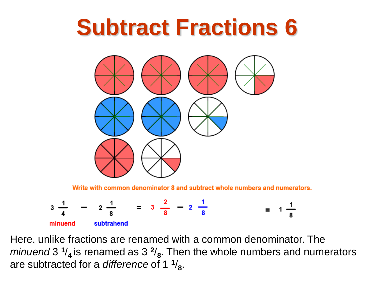

Write with common denominator 8 and subtract whole numbers and numerators.



Here, unlike fractions are renamed with a common denominator. The *minuend* 3 **<sup>1</sup>**/**4** is renamed as 3 **<sup>2</sup>**/**8**. Then the whole numbers and numerators are subtracted for a *difference* of 1  $\frac{1}{8}$ .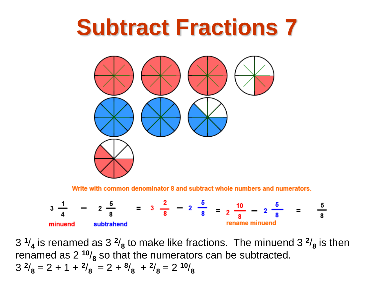

Write with common denominator 8 and subtract whole numbers and numerators.



 $3 \frac{1}{4}$  is renamed as  $3 \frac{2}{8}$  to make like fractions. The minuend  $3 \frac{2}{8}$  is then renamed as 2 **<sup>10</sup>**/**<sup>8</sup>** so that the numerators can be subtracted.  $3^{2}/_{8} = 2 + 1 + \frac{2}{8} = 2 + \frac{8}{8} + \frac{2}{8} = 2 \frac{10}{8}$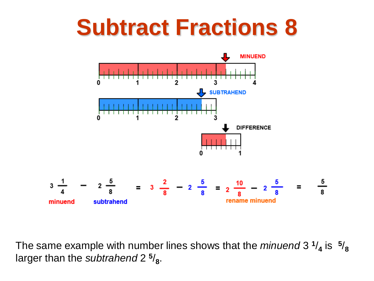

The same example with number lines shows that the *minuend* 3 **<sup>1</sup>**/**<sup>4</sup>** is **<sup>5</sup>**/**<sup>8</sup>** larger than the *subtrahend* 2<sup>5</sup>/<sub>8</sub>.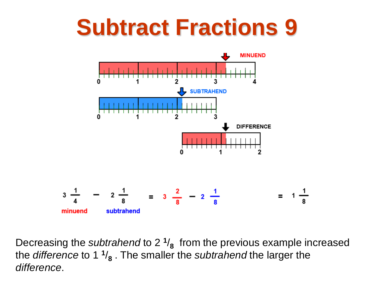

Decreasing the *subtrahend* to 2 **<sup>1</sup>**/**<sup>8</sup>** from the previous example increased the *difference* to 1 **<sup>1</sup>**/**<sup>8</sup>** . The smaller the *subtrahend* the larger the *difference*.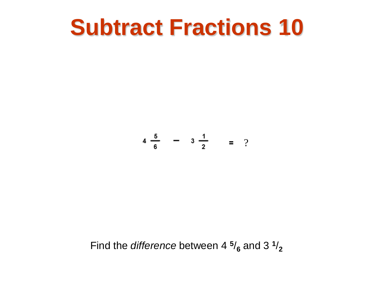$$
4 \frac{5}{6} - 3 \frac{1}{2} = ?
$$

Find the *difference* between 4  $\frac{5}{6}$  and 3  $\frac{1}{2}$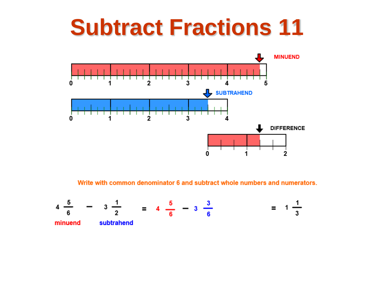

Write with common denominator 6 and subtract whole numbers and numerators.

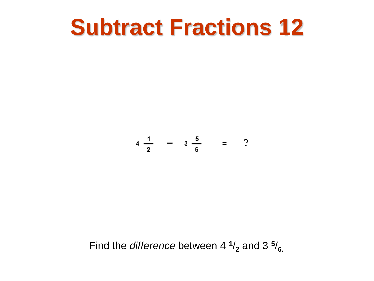$$
4\frac{1}{2} - 3\frac{5}{6} = ?
$$

Find the *difference* between 4  $\frac{1}{2}$  and 3  $\frac{5}{6}$ .